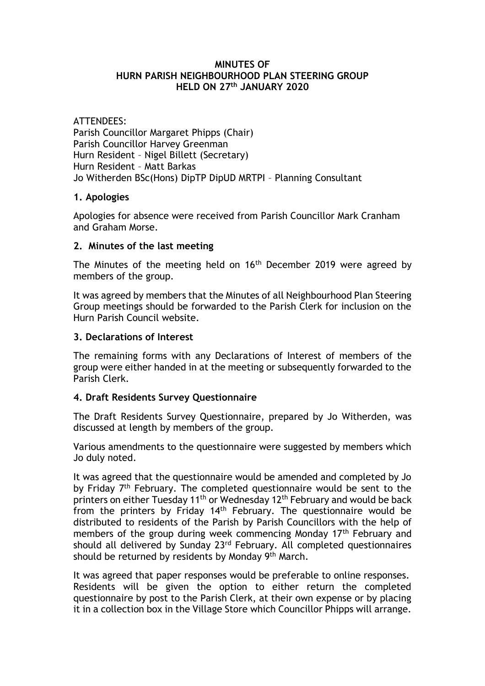#### **MINUTES OF HURN PARISH NEIGHBOURHOOD PLAN STEERING GROUP HELD ON 27th JANUARY 2020**

ATTENDEES: Parish Councillor Margaret Phipps (Chair) Parish Councillor Harvey Greenman Hurn Resident – Nigel Billett (Secretary) Hurn Resident – Matt Barkas Jo Witherden BSc(Hons) DipTP DipUD MRTPI – Planning Consultant

#### **1. Apologies**

Apologies for absence were received from Parish Councillor Mark Cranham and Graham Morse.

## **2. Minutes of the last meeting**

The Minutes of the meeting held on 16<sup>th</sup> December 2019 were agreed by members of the group.

It was agreed by members that the Minutes of all Neighbourhood Plan Steering Group meetings should be forwarded to the Parish Clerk for inclusion on the Hurn Parish Council website.

## **3. Declarations of Interest**

The remaining forms with any Declarations of Interest of members of the group were either handed in at the meeting or subsequently forwarded to the Parish Clerk.

# **4. Draft Residents Survey Questionnaire**

The Draft Residents Survey Questionnaire, prepared by Jo Witherden, was discussed at length by members of the group.

Various amendments to the questionnaire were suggested by members which Jo duly noted.

It was agreed that the questionnaire would be amended and completed by Jo by Friday 7<sup>th</sup> February. The completed questionnaire would be sent to the printers on either Tuesday 11<sup>th</sup> or Wednesday 12<sup>th</sup> February and would be back from the printers by Friday 14th February. The questionnaire would be distributed to residents of the Parish by Parish Councillors with the help of members of the group during week commencing Monday 17<sup>th</sup> February and should all delivered by Sunday 23<sup>rd</sup> February. All completed questionnaires should be returned by residents by Monday 9th March.

It was agreed that paper responses would be preferable to online responses. Residents will be given the option to either return the completed questionnaire by post to the Parish Clerk, at their own expense or by placing it in a collection box in the Village Store which Councillor Phipps will arrange.